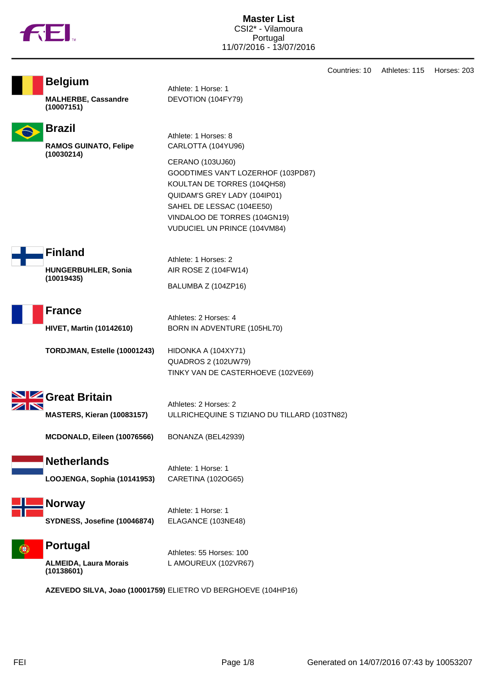

Countries: 10 Athletes: 115 Horses: 203

## **Belgium** Athlete: 1 Horse: 1

**MALHERBE, Cassandre (10007151)**

# **Brazil**

**RAMOS GUINATO, Felipe (10030214)**

DEVOTION (104FY79)

Athlete: 1 Horses: 8 CARLOTTA (104YU96)

CERANO (103UJ60) GOODTIMES VAN'T LOZERHOF (103PD87) KOULTAN DE TORRES (104QH58) QUIDAM'S GREY LADY (104IP01) SAHEL DE LESSAC (104EE50) VINDALOO DE TORRES (104GN19) VUDUCIEL UN PRINCE (104VM84)

**Finland HUNGERBUHLER, Sonia (10019435)**

Athlete: 1 Horses: 2 AIR ROSE Z (104FW14)

BALUMBA Z (104ZP16)



Athletes: 2 Horses: 4 **HIVET, Martin (10142610)** BORN IN ADVENTURE (105HL70)

**TORDJMAN, Estelle (10001243)** HIDONKA A (104XY71)

QUADROS 2 (102UW79) TINKY VAN DE CASTERHOEVE (102VE69)

| SIZ Great Britain           |  |
|-----------------------------|--|
| ZN<br>111077700111110000177 |  |

Athletes: 2 Horses: 2 **MASTERS, Kieran (10083157)** ULLRICHEQUINE S TIZIANO DU TILLARD (103TN82)

**MCDONALD, Eileen (10076566)** BONANZA (BEL42939)

**Netherlands**

**LOOJENGA, Sophia (10141953)** CARETINA (102OG65)

**Norway**

**SYDNESS, Josefine (10046874)** ELAGANCE (103NE48)



**ALMEIDA, Laura Morais (10138601)**

Athletes: 55 Horses: 100 L AMOUREUX (102VR67)

Athlete: 1 Horse: 1

Athlete: 1 Horse: 1

**AZEVEDO SILVA, Joao (10001759)** ELIETRO VD BERGHOEVE (104HP16)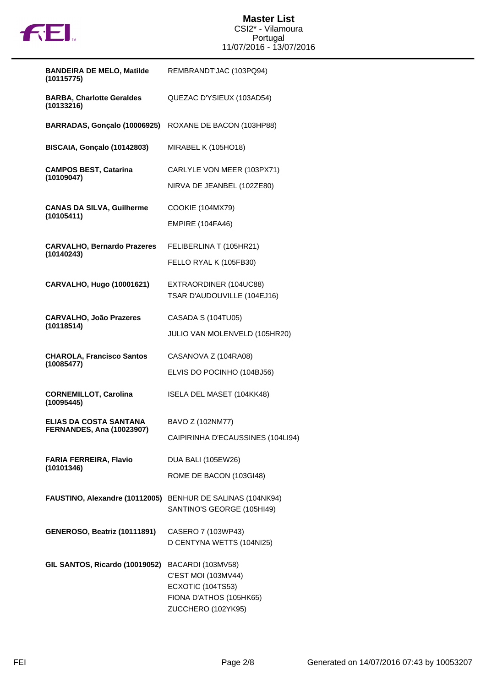

#### **Master List** CSI2\* - Vilamoura Portugal 11/07/2016 - 13/07/2016

| <b>BANDEIRA DE MELO, Matilde</b><br>(10115775)   | REMBRANDT'JAC (103PQ94)                       |
|--------------------------------------------------|-----------------------------------------------|
| <b>BARBA, Charlotte Geraldes</b><br>(10133216)   | QUEZAC D'YSIEUX (103AD54)                     |
| BARRADAS, Gonçalo (10006925)                     | ROXANE DE BACON (103HP88)                     |
| BISCAIA, Gonçalo (10142803)                      | MIRABEL K (105HO18)                           |
| <b>CAMPOS BEST, Catarina</b><br>(10109047)       | CARLYLE VON MEER (103PX71)                    |
|                                                  | NIRVA DE JEANBEL (102ZE80)                    |
| <b>CANAS DA SILVA, Guilherme</b>                 | <b>COOKIE (104MX79)</b>                       |
| (10105411)                                       | <b>EMPIRE (104FA46)</b>                       |
| <b>CARVALHO, Bernardo Prazeres</b><br>(10140243) | FELIBERLINA T (105HR21)                       |
|                                                  | FELLO RYAL K (105FB30)                        |
| CARVALHO, Hugo (10001621)                        | EXTRAORDINER (104UC88)                        |
|                                                  | TSAR D'AUDOUVILLE (104EJ16)                   |
| <b>CARVALHO, João Prazeres</b><br>(10118514)     | CASADA S (104TU05)                            |
|                                                  | JULIO VAN MOLENVELD (105HR20)                 |
| <b>CHAROLA, Francisco Santos</b>                 | CASANOVA Z (104RA08)                          |
| (10085477)                                       | ELVIS DO POCINHO (104BJ56)                    |
| <b>CORNEMILLOT, Carolina</b><br>(10095445)       | ISELA DEL MASET (104KK48)                     |
| <b>ELIAS DA COSTA SANTANA</b>                    | BAVO Z (102NM77)                              |
| <b>FERNANDES, Ana (10023907)</b>                 | CAIPIRINHA D'ECAUSSINES (104LI94)             |
| <b>FARIA FERREIRA, Flavio</b>                    | DUA BALI (105EW26)                            |
| (10101346)                                       | ROME DE BACON (103GI48)                       |
| FAUSTINO, Alexandre (10112005)                   | BENHUR DE SALINAS (104NK94)                   |
|                                                  | SANTINO'S GEORGE (105HI49)                    |
| <b>GENEROSO, Beatriz (10111891)</b>              | CASERO 7 (103WP43)                            |
|                                                  | D CENTYNA WETTS (104NI25)                     |
| GIL SANTOS, Ricardo (10019052)                   | BACARDI (103MV58)<br>C'EST MOI (103MV44)      |
|                                                  | ECXOTIC (104TS53)                             |
|                                                  | FIONA D'ATHOS (105HK65)<br>ZUCCHERO (102YK95) |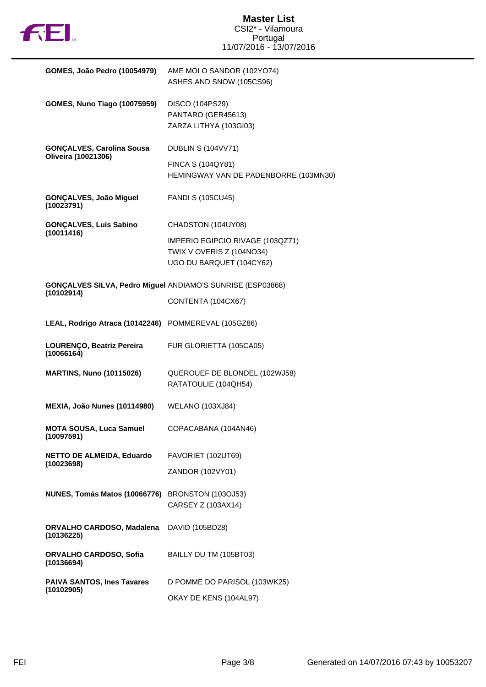

| <b>GOMES, João Pedro (10054979)</b>                  | AME MOI O SANDOR (102YO74)<br>ASHES AND SNOW (105CS96)                                    |
|------------------------------------------------------|-------------------------------------------------------------------------------------------|
| <b>GOMES, Nuno Tiago (10075959)</b>                  | DISCO (104PS29)<br>PANTARO (GER45613)<br>ZARZA LITHYA (103GI03)                           |
| <b>GONÇALVES, Carolina Sousa</b>                     | <b>DUBLIN S (104VV71)</b>                                                                 |
| Oliveira (10021306)                                  | <b>FINCA S (104QY81)</b><br>HEMINGWAY VAN DE PADENBORRE (103MN30)                         |
| <b>GONÇALVES, João Miguel</b><br>(10023791)          | <b>FANDI S (105CU45)</b>                                                                  |
| <b>GONÇALVES, Luis Sabino</b><br>(10011416)          | CHADSTON (104UY08)                                                                        |
|                                                      | IMPERIO EGIPCIO RIVAGE (103QZ71)<br>TWIX V OVERIS Z (104NO34)<br>UGO DU BARQUET (104CY62) |
|                                                      | GONÇALVES SILVA, Pedro Miguel ANDIAMO'S SUNRISE (ESP03868)                                |
| (10102914)                                           | CONTENTA (104CX67)                                                                        |
| LEAL, Rodrigo Atraca (10142246) POMMEREVAL (105GZ86) |                                                                                           |
| LOURENÇO, Beatriz Pereira<br>(10066164)              | FUR GLORIETTA (105CA05)                                                                   |
| <b>MARTINS, Nuno (10115026)</b>                      | QUEROUEF DE BLONDEL (102WJ58)<br>RATATOULIE (104QH54)                                     |
| MEXIA, João Nunes (10114980)                         | <b>WELANO (103XJ84)</b>                                                                   |
| <b>MOTA SOUSA, Luca Samuel</b><br>(10097591)         | COPACABANA (104AN46)                                                                      |
| <b>NETTO DE ALMEIDA, Eduardo</b>                     | FAVORIET (102UT69)                                                                        |
| (10023698)                                           | ZANDOR (102VY01)                                                                          |
| NUNES, Tomás Matos (10066776) BRONSTON (103OJ53)     | CARSEY Z (103AX14)                                                                        |
| ORVALHO CARDOSO, Madalena<br>(10136225)              | DAVID (105BD28)                                                                           |
| ORVALHO CARDOSO, Sofia<br>(10136694)                 | BAILLY DU TM (105BT03)                                                                    |
| <b>PAIVA SANTOS, Ines Tavares</b><br>(10102905)      | D POMME DO PARISOL (103WK25)                                                              |
|                                                      | OKAY DE KENS (104AL97)                                                                    |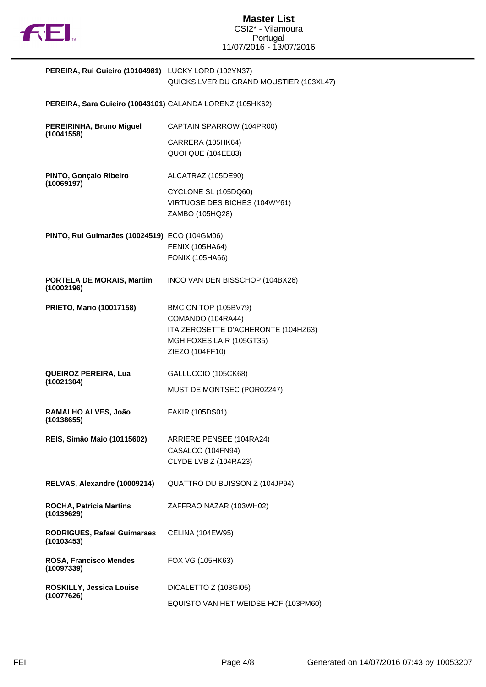

### **PEREIRA, Rui Guieiro (10104981)** LUCKY LORD (102YN37) QUICKSILVER DU GRAND MOUSTIER (103XL47)

ZAMBO (105HQ28)

#### **PEREIRA, Sara Guieiro (10043101)** CALANDA LORENZ (105HK62)

| <b>PEREIRINHA, Bruno Miquel</b><br>(10041558) | CAPTAIN SPARROW (104PR00)               |  |
|-----------------------------------------------|-----------------------------------------|--|
|                                               | CARRERA (105HK64)<br>QUOI QUE (104EE83) |  |
| PINTO, Gonçalo Ribeiro<br>(10069197)          | ALCATRAZ (105DE90)                      |  |
|                                               | CYCLONE SL (105DQ60)                    |  |
|                                               | VIRTUOSE DES BICHES (104WY61)           |  |

- **PINTO, Rui Guimarães (10024519)** ECO (104GM06) FENIX (105HA64) FONIX (105HA66)
- **PORTELA DE MORAIS, Martim (10002196)** INCO VAN DEN BISSCHOP (104BX26)
- **PRIETO, Mario (10017158)** BMC ON TOP (105BV79) COMANDO (104RA44) ITA ZEROSETTE D'ACHERONTE (104HZ63) MGH FOXES LAIR (105GT35) ZIEZO (104FF10)
- **QUEIROZ PEREIRA, Lua (10021304)** GALLUCCIO (105CK68)
	- MUST DE MONTSEC (POR02247)
- **RAMALHO ALVES, João (10138655)** FAKIR (105DS01)

**REIS, Simão Maio (10115602)** ARRIERE PENSEE (104RA24) CASALCO (104FN94) CLYDE LVB Z (104RA23)

- **RELVAS, Alexandre (10009214)** QUATTRO DU BUISSON Z (104JP94)
- **ROCHA, Patricia Martins (10139629)** ZAFFRAO NAZAR (103WH02)
- **RODRIGUES, Rafael Guimaraes (10103453)** CELINA (104EW95)

**ROSA, Francisco Mendes (10097339)** FOX VG (105HK63)

**ROSKILLY, Jessica Louise (10077626)** DICALETTO Z (103GI05) EQUISTO VAN HET WEIDSE HOF (103PM60)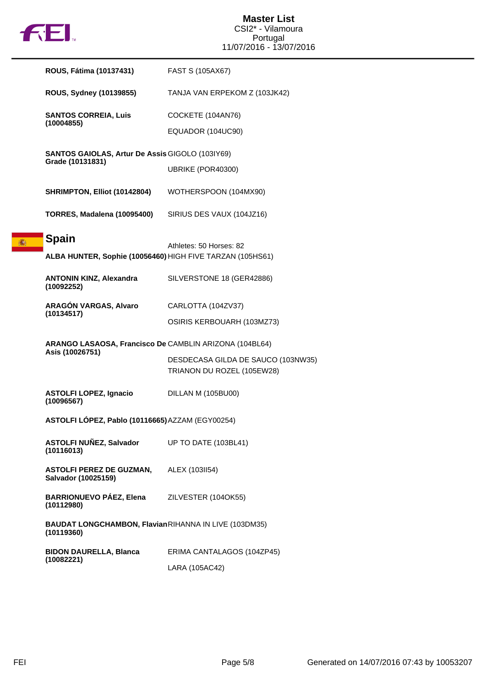

| ROUS, Fátima (10137431)                                                    | FAST S (105AX67)                                                 |  |
|----------------------------------------------------------------------------|------------------------------------------------------------------|--|
| ROUS, Sydney (10139855)                                                    | TANJA VAN ERPEKOM Z (103JK42)                                    |  |
| <b>SANTOS CORREIA, Luis</b><br>(10004855)                                  | COCKETE (104AN76)<br>EQUADOR (104UC90)                           |  |
| <b>SANTOS GAIOLAS, Artur De Assis GIGOLO (103IY69)</b><br>Grade (10131831) |                                                                  |  |
|                                                                            | UBRIKE (POR40300)                                                |  |
| SHRIMPTON, Elliot (10142804)                                               | WOTHERSPOON (104MX90)                                            |  |
| TORRES, Madalena (10095400)                                                | SIRIUS DES VAUX (104JZ16)                                        |  |
| <b>Spain</b>                                                               | Athletes: 50 Horses: 82                                          |  |
| ALBA HUNTER, Sophie (10056460) HIGH FIVE TARZAN (105HS61)                  |                                                                  |  |
| <b>ANTONIN KINZ, Alexandra</b><br>(10092252)                               | SILVERSTONE 18 (GER42886)                                        |  |
| ARAGÓN VARGAS, Alvaro<br>(10134517)                                        | CARLOTTA (104ZV37)                                               |  |
|                                                                            | OSIRIS KERBOUARH (103MZ73)                                       |  |
| ARANGO LASAOSA, Francisco De CAMBLIN ARIZONA (104BL64)<br>Asis (10026751)  |                                                                  |  |
|                                                                            | DESDECASA GILDA DE SAUCO (103NW35)<br>TRIANON DU ROZEL (105EW28) |  |
| <b>ASTOLFI LOPEZ, Ignacio</b><br>(10096567)                                | DILLAN M (105BU00)                                               |  |
| ASTOLFI LÓPEZ, Pablo (10116665) AZZAM (EGY00254)                           |                                                                  |  |
| ASTOLFI NUÑEZ, Salvador<br>(10116013)                                      | UP TO DATE (103BL41)                                             |  |
| <b>ASTOLFI PEREZ DE GUZMAN,</b><br>Salvador (10025159)                     | ALEX (103II54)                                                   |  |
| <b>BARRIONUEVO PÁEZ, Elena</b><br>(10112980)                               | ZILVESTER (104OK55)                                              |  |
| <b>BAUDAT LONGCHAMBON, Flavian RIHANNA IN LIVE (103DM35)</b><br>(10119360) |                                                                  |  |
| <b>BIDON DAURELLA, Blanca</b><br>(10082221)                                | ERIMA CANTALAGOS (104ZP45)                                       |  |
|                                                                            | LARA (105AC42)                                                   |  |

FEI Page 5/8 Generated on 14/07/2016 07:43 by 10053207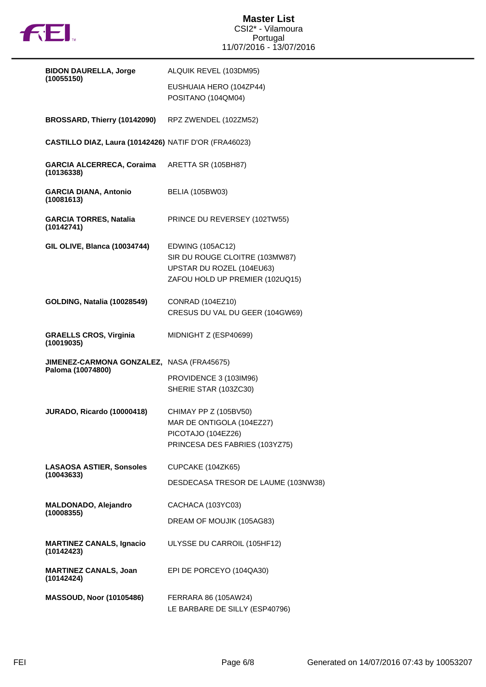

| <b>BIDON DAURELLA, Jorge</b><br>(10055150)                     | ALQUIK REVEL (103DM95)                                                                                                    |
|----------------------------------------------------------------|---------------------------------------------------------------------------------------------------------------------------|
|                                                                | EUSHUAIA HERO (104ZP44)<br>POSITANO (104QM04)                                                                             |
| BROSSARD, Thierry (10142090)                                   | RPZ ZWENDEL (102ZM52)                                                                                                     |
| CASTILLO DIAZ, Laura (10142426) NATIF D'OR (FRA46023)          |                                                                                                                           |
| <b>GARCIA ALCERRECA, Coraima</b><br>(10136338)                 | ARETTA SR (105BH87)                                                                                                       |
| <b>GARCIA DIANA, Antonio</b><br>(10081613)                     | <b>BELIA (105BW03)</b>                                                                                                    |
| <b>GARCIA TORRES, Natalia</b><br>(10142741)                    | PRINCE DU REVERSEY (102TW55)                                                                                              |
| <b>GIL OLIVE, Blanca (10034744)</b>                            | <b>EDWING (105AC12)</b><br>SIR DU ROUGE CLOITRE (103MW87)<br>UPSTAR DU ROZEL (104EU63)<br>ZAFOU HOLD UP PREMIER (102UQ15) |
| <b>GOLDING, Natalia (10028549)</b>                             | CONRAD (104EZ10)<br>CRESUS DU VAL DU GEER (104GW69)                                                                       |
| <b>GRAELLS CROS, Virginia</b><br>(10019035)                    | MIDNIGHT Z (ESP40699)                                                                                                     |
| JIMENEZ-CARMONA GONZALEZ, NASA (FRA45675)<br>Paloma (10074800) |                                                                                                                           |
|                                                                | PROVIDENCE 3 (103IM96)<br>SHERIE STAR (103ZC30)                                                                           |
| <b>JURADO, Ricardo (10000418)</b>                              | CHIMAY PP Z (105BV50)<br>MAR DE ONTIGOLA (104EZ27)<br>PICOTAJO (104EZ26)<br>PRINCESA DES FABRIES (103YZ75)                |
| <b>LASAOSA ASTIER, Sonsoles</b><br>(10043633)                  | CUPCAKE (104ZK65)                                                                                                         |
|                                                                | DESDECASA TRESOR DE LAUME (103NW38)                                                                                       |
| <b>MALDONADO, Alejandro</b><br>(10008355)                      | CACHACA (103YC03)                                                                                                         |
|                                                                | DREAM OF MOUJIK (105AG83)                                                                                                 |
| <b>MARTINEZ CANALS, Ignacio</b><br>(10142423)                  | ULYSSE DU CARROIL (105HF12)                                                                                               |
| <b>MARTINEZ CANALS, Joan</b><br>(10142424)                     | EPI DE PORCEYO (104QA30)                                                                                                  |
| <b>MASSOUD, Noor (10105486)</b>                                | FERRARA 86 (105AW24)<br>LE BARBARE DE SILLY (ESP40796)                                                                    |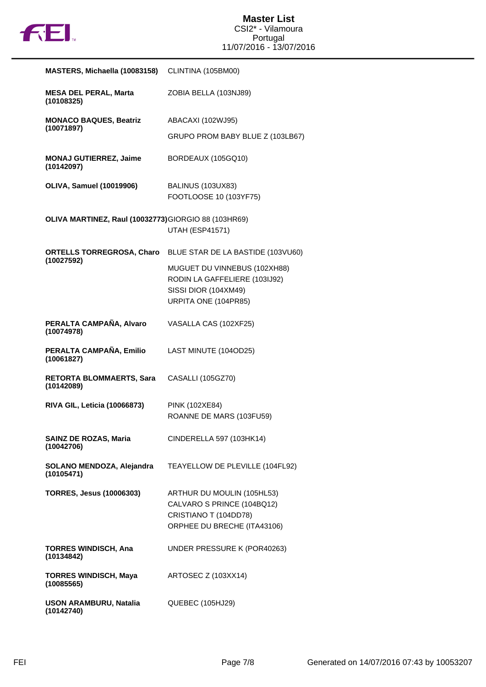

| MASTERS, Michaella (10083158)                        | CLINTINA (105BM00)                                                                                               |
|------------------------------------------------------|------------------------------------------------------------------------------------------------------------------|
| <b>MESA DEL PERAL, Marta</b><br>(10108325)           | ZOBIA BELLA (103NJ89)                                                                                            |
| <b>MONACO BAQUES, Beatriz</b>                        | ABACAXI (102WJ95)                                                                                                |
| (10071897)                                           | GRUPO PROM BABY BLUE Z (103LB67)                                                                                 |
| <b>MONAJ GUTIERREZ, Jaime</b><br>(10142097)          | BORDEAUX (105GQ10)                                                                                               |
| <b>OLIVA, Samuel (10019906)</b>                      | <b>BALINUS (103UX83)</b><br>FOOTLOOSE 10 (103YF75)                                                               |
| OLIVA MARTINEZ, Raul (10032773) GIORGIO 88 (103HR69) | <b>UTAH (ESP41571)</b>                                                                                           |
| <b>ORTELLS TORREGROSA, Charo</b>                     | BLUE STAR DE LA BASTIDE (103VU60)                                                                                |
| (10027592)                                           | MUGUET DU VINNEBUS (102XH88)<br>RODIN LA GAFFELIERE (103IJ92)<br>SISSI DIOR (104XM49)<br>URPITA ONE (104PR85)    |
| PERALTA CAMPAÑA, Alvaro<br>(10074978)                | VASALLA CAS (102XF25)                                                                                            |
| PERALTA CAMPAÑA, Emilio<br>(10061827)                | LAST MINUTE (104OD25)                                                                                            |
| RETORTA BLOMMAERTS, Sara<br>(10142089)               | CASALLI (105GZ70)                                                                                                |
| <b>RIVA GIL, Leticia (10066873)</b>                  | PINK (102XE84)<br>ROANNE DE MARS (103FU59)                                                                       |
| <b>SAINZ DE ROZAS, Maria</b><br>(10042706)           | CINDERELLA 597 (103HK14)                                                                                         |
| SOLANO MENDOZA, Alejandra<br>(10105471)              | TEAYELLOW DE PLEVILLE (104FL92)                                                                                  |
| <b>TORRES, Jesus (10006303)</b>                      | ARTHUR DU MOULIN (105HL53)<br>CALVARO S PRINCE (104BQ12)<br>CRISTIANO T (104DD78)<br>ORPHEE DU BRECHE (ITA43106) |
| <b>TORRES WINDISCH, Ana</b><br>(10134842)            | UNDER PRESSURE K (POR40263)                                                                                      |
| <b>TORRES WINDISCH, Maya</b><br>(10085565)           | ARTOSEC Z (103XX14)                                                                                              |
| <b>USON ARAMBURU, Natalia</b><br>(10142740)          | QUEBEC (105HJ29)                                                                                                 |